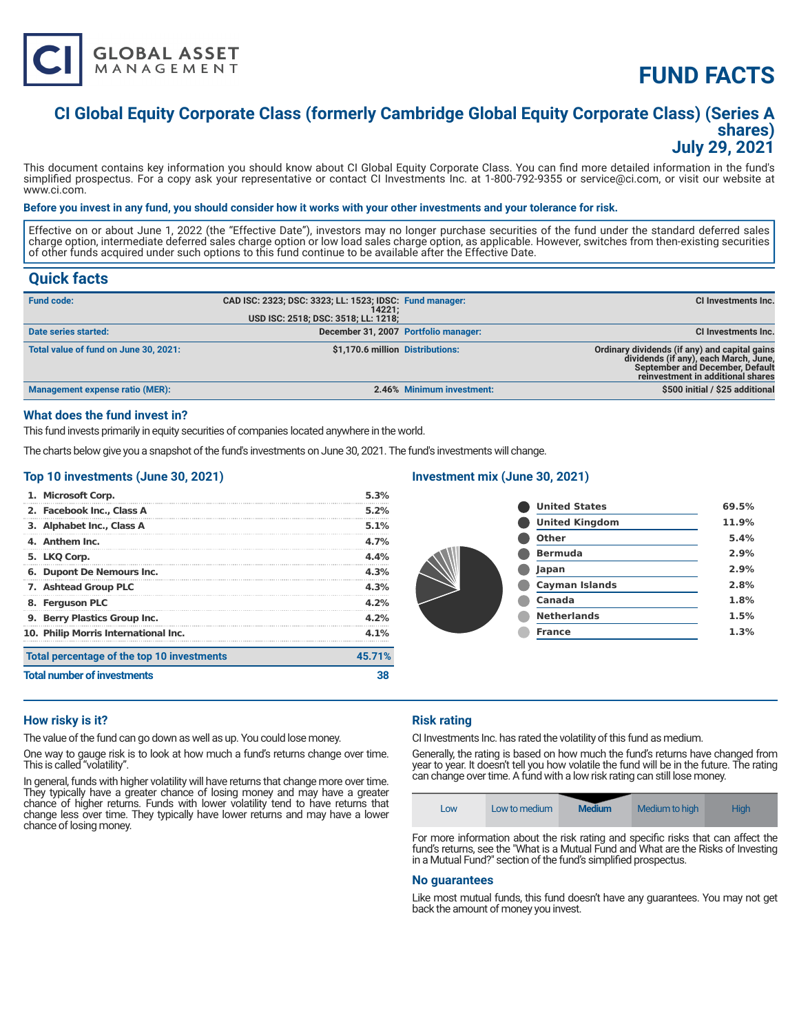

# **FUND FACTS**

### **CI Global Equity Corporate Class (formerly Cambridge Global Equity Corporate Class) (Series A shares) July 29, 2021**

This document contains key information you should know about CI Global Equity Corporate Class. You can find more detailed information in the fund's simplified prospectus. For a copy ask your representative or contact CI Investments Inc. at 1-800-792-9355 or service@ci.com, or visit our website at www.ci.com.

#### **Before you invest in any fund, you should consider how it works with your other investments and your tolerance for risk.**

Effective on or about June 1, 2022 (the "Effective Date"), investors may no longer purchase securities of the fund under the standard deferred sales charge option, intermediate deferred sales charge option or low load sales charge option, as applicable. However, switches from then-existing securities of other funds acquired under such options to this fund continue to be available after the Effective Date.

### **Quick facts**

| <b>Fund code:</b>                     | CAD ISC: 2323; DSC: 3323; LL: 1523; IDSC: Fund manager:<br>14221:<br>USD ISC: 2518; DSC: 3518; LL: 1218; |                           | CI Investments Inc.                                                                                                                                            |
|---------------------------------------|----------------------------------------------------------------------------------------------------------|---------------------------|----------------------------------------------------------------------------------------------------------------------------------------------------------------|
| Date series started:                  | December 31, 2007 Portfolio manager:                                                                     |                           | <b>CI Investments Inc.</b>                                                                                                                                     |
| Total value of fund on June 30, 2021: | \$1,170.6 million Distributions:                                                                         |                           | Ordinary dividends (if any) and capital gains<br>dividends (if any), each March, June,<br>September and December, Default<br>reinvestment in additional shares |
| Management expense ratio (MER):       |                                                                                                          | 2.46% Minimum investment: | \$500 initial / \$25 additional                                                                                                                                |

#### **What does the fund invest in?**

This fund invests primarily in equity securities of companies located anywhere in the world.

The charts below give you a snapshot of the fund's investments on June 30, 2021. The fund's investments will change.

#### **Top 10 investments (June 30, 2021)**

| Total percentage of the top 10 investments<br><b>Total number of investments</b> |                                      | 38      |
|----------------------------------------------------------------------------------|--------------------------------------|---------|
|                                                                                  |                                      | 45.71%  |
|                                                                                  | 10. Philip Morris International Inc. | $4.1\%$ |
|                                                                                  | 9. Berry Plastics Group Inc.         | 4.2%    |
|                                                                                  | 8. Ferguson PLC                      | 4.2%    |
|                                                                                  | 7. Ashtead Group PLC                 | 4.3%    |
|                                                                                  | 6. Dupont De Nemours Inc.            | 4.3%    |
|                                                                                  | 5. LKQ Corp.                         | 4.4%    |
|                                                                                  | 4. Anthem Inc.                       | 4.7%    |
|                                                                                  | 3. Alphabet Inc., Class A            | 5.1%    |
|                                                                                  | 2. Facebook Inc., Class A            | 5.2%    |
|                                                                                  | 1. Microsoft Corp.                   | 5.3%    |

#### **Investment mix (June 30, 2021)**

| <b>United States</b>  | 69.5% |
|-----------------------|-------|
| <b>United Kingdom</b> | 11.9% |
| Other                 | 5.4%  |
| <b>Bermuda</b>        | 2.9%  |
| Japan                 | 2.9%  |
| <b>Cayman Islands</b> | 2.8%  |
| Canada                | 1.8%  |
| <b>Netherlands</b>    | 1.5%  |
| <b>France</b>         | 1.3%  |
|                       |       |

#### **How risky is it?**

The value of the fund can go down as well as up. You could lose money.

One way to gauge risk is to look at how much a fund's returns change over time. This is called "volatility".

In general, funds with higher volatility will have returns that change more over time. They typically have a greater chance of losing money and may have a greater chance of higher returns. Funds with lower volatility tend to have returns that change less over time. They typically have lower returns and may have a lower chance of losing money.

#### **Risk rating**

CI Investments Inc. has rated the volatility of this fund as medium.

Generally, the rating is based on how much the fund's returns have changed from year to year. It doesn't tell you how volatile the fund will be in the future. The rating can change over time. A fund with a low risk rating can still lose money.



For more information about the risk rating and specific risks that can affect the fund's returns, see the "What is a Mutual Fund and What are the Risks of Investing in a Mutual Fund?" section of the fund's simplified prospectus.

#### **No guarantees**

Like most mutual funds, this fund doesn't have any guarantees. You may not get back the amount of money you invest.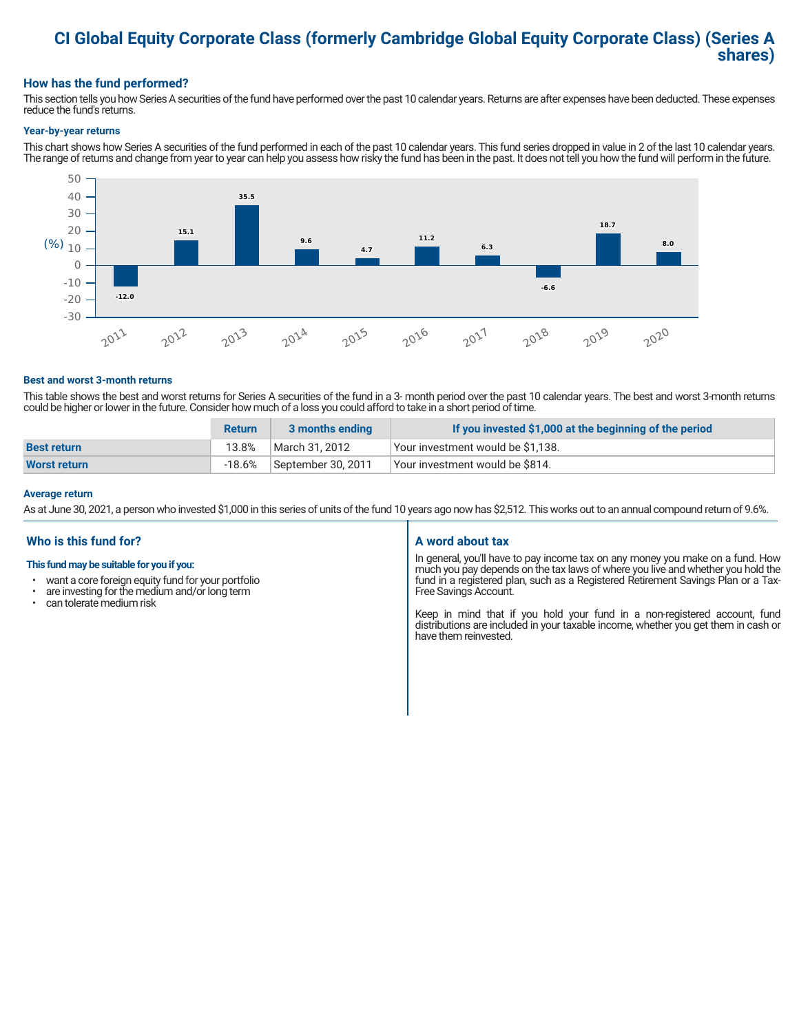## **CI Global Equity Corporate Class (formerly Cambridge Global Equity Corporate Class) (Series A shares)**

### **How has the fund performed?**

This section tells you how Series A securities of the fund have performed over the past 10 calendar years. Returns are after expenses have been deducted. These expenses reduce the fund's returns.

#### **Year-by-year returns**

This chart shows how Series A securities of the fund performed in each of the past 10 calendar years. This fund series dropped in value in 2 of the last 10 calendar years. The range of returns and change from year to year can help you assess how risky the fund has been in the past. It does not tell you how the fund will perform in the future.



#### **Best and worst 3-month returns**

This table shows the best and worst returns for Series A securities of the fund in a 3- month period over the past 10 calendar years. The best and worst 3-month returns could be higher or lower in the future. Consider how much of a loss you could afford to take in a short period of time.

|                     | <b>Return</b> | 3 months ending    | If you invested \$1,000 at the beginning of the period |
|---------------------|---------------|--------------------|--------------------------------------------------------|
| <b>Best return</b>  | 13.8%         | March 31, 2012     | Your investment would be \$1,138.                      |
| <b>Worst return</b> | $-18.6%$      | September 30, 2011 | Your investment would be \$814.                        |

#### **Average return**

As at June 30, 2021, a person who invested \$1,000 in this series of units of the fund 10 years ago now has \$2,512. This works out to an annual compound return of 9.6%.

#### **Who is this fund for?**

#### **This fund may be suitable for you if you:**

- want a core foreign equity fund for your portfolio
- $\cdot$  are investing for the medium and/or long term  $\cdot$  can telerate medium risk
- can tolerate medium risk

#### **A word about tax**

In general, you'll have to pay income tax on any money you make on a fund. How much you pay depends on the tax laws of where you live and whether you hold the fund in a registered plan, such as a Registered Retirement Savings Plan or a Tax-Free Savings Account.

Keep in mind that if you hold your fund in a non-registered account, fund distributions are included in your taxable income, whether you get them in cash or have them reinvested.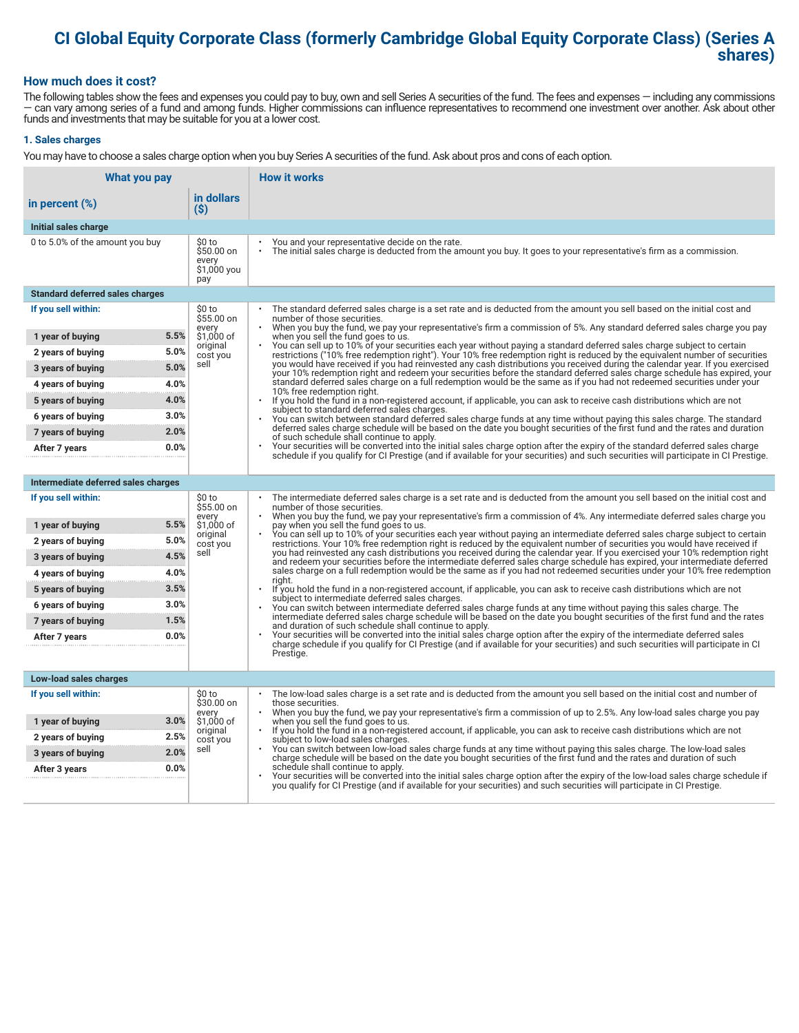# **CI Global Equity Corporate Class (formerly Cambridge Global Equity Corporate Class) (Series A shares)**

#### **How much does it cost?**

The following tables show the fees and expenses you could pay to buy, own and sell Series A securities of the fund. The fees and expenses — including any commissions — can vary among series of a fund and among funds. Higher commissions can influence representatives to recommend one investment over another. Ask about other funds and investments that may be suitable for you at a lower cost.

#### **1. Sales charges**

You may have to choose a sales charge option when you buy Series A securities of the fund. Ask about pros and cons of each option.

| What you pay                           |                                                     | <b>How it works</b>                                                                                                                                                                                                                                                                   |
|----------------------------------------|-----------------------------------------------------|---------------------------------------------------------------------------------------------------------------------------------------------------------------------------------------------------------------------------------------------------------------------------------------|
| in percent (%)                         | in dollars<br>$($ \$)                               |                                                                                                                                                                                                                                                                                       |
| Initial sales charge                   |                                                     |                                                                                                                                                                                                                                                                                       |
| 0 to 5.0% of the amount you buy        | \$0 to<br>\$50.00 on<br>every<br>\$1,000 you<br>pay | You and your representative decide on the rate.<br>The initial sales charge is deducted from the amount you buy. It goes to your representative's firm as a commission.                                                                                                               |
| <b>Standard deferred sales charges</b> |                                                     |                                                                                                                                                                                                                                                                                       |
| If you sell within:                    | \$0 to<br>\$55.00 on                                | The standard deferred sales charge is a set rate and is deducted from the amount you sell based on the initial cost and<br>number of those securities.                                                                                                                                |
| 5.5%<br>1 year of buying               | every<br>\$1,000 of                                 | When you buy the fund, we pay your representative's firm a commission of 5%. Any standard deferred sales charge you pay<br>when you sell the fund goes to us.                                                                                                                         |
| 5.0%<br>2 years of buying              | original<br>cost you                                | You can sell up to 10% of your securities each year without paying a standard deferred sales charge subject to certain<br>restrictions ("10% free redemption right"). Your 10% free redemption right is reduced by the equivalent number of securities                                |
| 5.0%<br>3 years of buying              | sell                                                | you would have received if you had reinvested any cash distributions you received during the calendar year. If you exercised<br>your 10% redemption right and redeem your securities before the standard deferred sales charge schedule has expired, your                             |
| 4.0%<br>4 years of buying              |                                                     | standard deferred sales charge on a full redemption would be the same as if you had not redeemed securities under your<br>10% free redemption right.                                                                                                                                  |
| 4.0%<br>5 years of buying              |                                                     | If you hold the fund in a non-registered account, if applicable, you can ask to receive cash distributions which are not<br>$\ddot{\phantom{0}}$<br>subject to standard deferred sales charges.                                                                                       |
| 3.0%<br>6 years of buying              |                                                     | You can switch between standard deferred sales charge funds at any time without paying this sales charge. The standard                                                                                                                                                                |
| 2.0%<br>7 years of buying              |                                                     | deferred sales charge schedule will be based on the date you bought securities of the first fund and the rates and duration<br>of such schedule shall continue to apply.                                                                                                              |
| 0.0%<br>After 7 years                  |                                                     | Your securities will be converted into the initial sales charge option after the expiry of the standard deferred sales charge<br>schedule if you qualify for CI Prestige (and if available for your securities) and such securities will participate in CI Prestige.                  |
|                                        |                                                     |                                                                                                                                                                                                                                                                                       |
| Intermediate deferred sales charges    |                                                     |                                                                                                                                                                                                                                                                                       |
| If you sell within:                    | \$0 to<br>\$55.00 on<br>every                       | The intermediate deferred sales charge is a set rate and is deducted from the amount you sell based on the initial cost and<br>number of those securities.<br>When you buy the fund, we pay your representative's firm a commission of 4%. Any intermediate deferred sales charge you |
| 5.5%<br>1 year of buying               | \$1,000 of<br>original                              | pay when you sell the fund goes to us.<br>You can sell up to 10% of your securities each year without paying an intermediate deferred sales charge subject to certain                                                                                                                 |
| 5.0%<br>2 years of buying              | cost you                                            | restrictions. Your 10% free redemption right is reduced by the equivalent number of securities you would have received if                                                                                                                                                             |
| 4.5%<br>3 years of buying              | sell                                                | you had reinvested any cash distributions you received during the calendar year. If you exercised your 10% redemption right<br>and redeem your securities before the intermediate deferred sales charge schedule has expired, your intermediate deferred                              |
| 4.0%<br>4 years of buying              |                                                     | sales charge on a full redemption would be the same as if you had not redeemed securities under your 10% free redemption<br>right.                                                                                                                                                    |
| 3.5%<br>5 years of buying              |                                                     | If you hold the fund in a non-registered account, if applicable, you can ask to receive cash distributions which are not<br>subject to intermediate deferred sales charges.                                                                                                           |
| 3.0%<br>6 years of buying              |                                                     | You can switch between intermediate deferred sales charge funds at any time without paying this sales charge. The<br>intermediate deferred sales charge schedule will be based on the date you bought securities of the first fund and the rates                                      |
| 1.5%<br>7 years of buying              |                                                     | and duration of such schedule shall continue to apply.                                                                                                                                                                                                                                |
| 0.0%<br>After 7 years                  |                                                     | Your securities will be converted into the initial sales charge option after the expiry of the intermediate deferred sales<br>charge schedule if you qualify for CI Prestige (and if available for your securities) and such securities will participate in CI                        |
|                                        |                                                     | Prestige.                                                                                                                                                                                                                                                                             |
| Low-load sales charges                 |                                                     |                                                                                                                                                                                                                                                                                       |
| If you sell within:                    | \$0 to<br>\$30.00 on                                | The low-load sales charge is a set rate and is deducted from the amount you sell based on the initial cost and number of<br>those securities.                                                                                                                                         |
| 3.0%<br>1 year of buying               | every<br>\$1,000 of                                 | When you buy the fund, we pay your representative's firm a commission of up to 2.5%. Any low-load sales charge you pay<br>when you sell the fund goes to us.                                                                                                                          |
| 2.5%<br>2 years of buying              | original<br>cost you                                | $\bullet$<br>If you hold the fund in a non-registered account, if applicable, you can ask to receive cash distributions which are not<br>subject to low-load sales charges.                                                                                                           |
| 2.0%<br>3 years of buying              | sell                                                | You can switch between low-load sales charge funds at any time without paying this sales charge. The low-load sales<br>charge schedule will be based on the date you bought securities of the first fund and the rates and duration of such                                           |
| 0.0%<br>After 3 years                  |                                                     | schedule shall continue to apply.<br>Your securities will be converted into the initial sales charge option after the expiry of the low-load sales charge schedule if                                                                                                                 |
|                                        |                                                     | you qualify for CI Prestige (and if available for your securities) and such securities will participate in CI Prestige.                                                                                                                                                               |